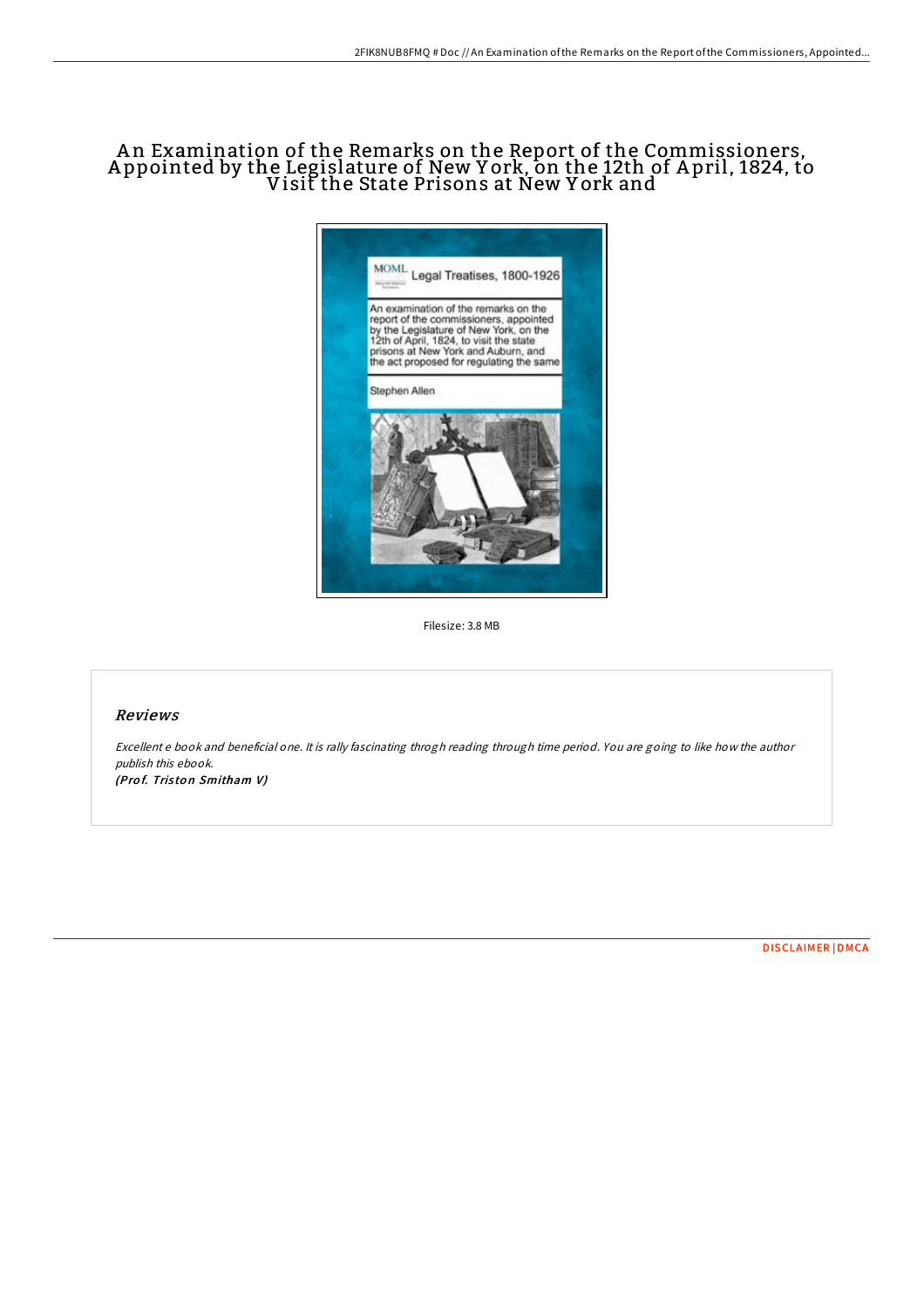## A n Examination of the Remarks on the Report of the Commissioners, A ppointed by the Legislature of New Y ork, on the 12th of A pril, 1824, to Visit the State Prisons at New Y ork and



Filesize: 3.8 MB

## Reviews

Excellent <sup>e</sup> book and beneficial one. It is rally fascinating throgh reading through time period. You are going to like how the author publish this ebook. (Prof. Triston Smitham V)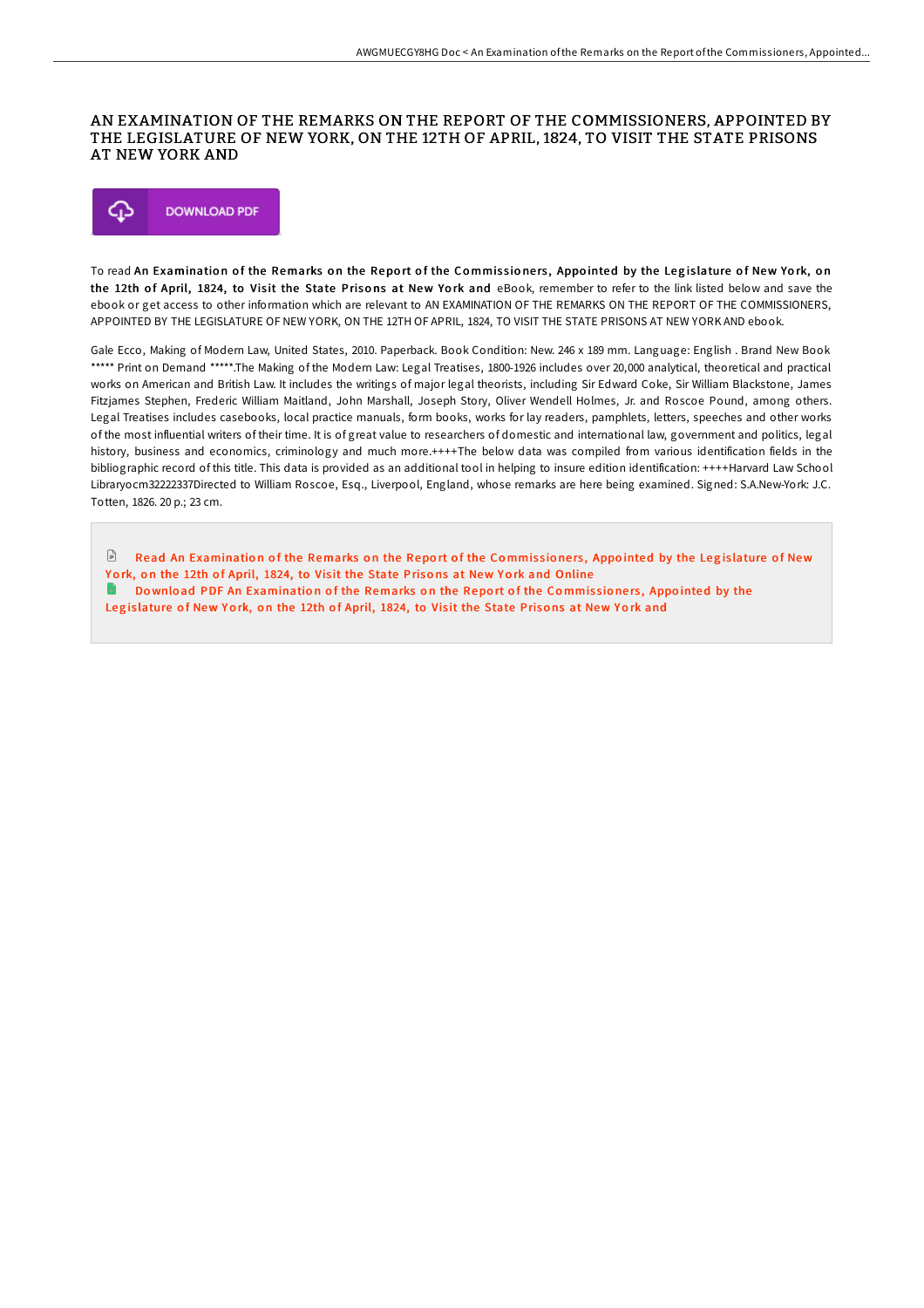## AN EXAMINATION OF THE REMARKS ON THE REPORT OF THE COMMISSIONERS, APPOINTED BY THE LEGISLATURE OF NEW YORK, ON THE 12TH OF APRIL, 1824, TO VISIT THE STATE PRISONS AT NEW YORK AND



To read An Examination of the Remarks on the Report of the Commissioners, Appointed by the Legislature of New York, on the 12th of April, 1824, to Visit the State Prisons at New York and eBook, remember to refer to the link listed below and save the ebook or get access to other information which are relevant to AN EXAMINATION OF THE REMARKS ON THE REPORT OF THE COMMISSIONERS, APPOINTED BY THE LEGISLATURE OF NEW YORK, ON THE 12TH OF APRIL, 1824, TO VISIT THE STATE PRISONS AT NEW YORK AND ebook.

Gale Ecco, Making of Modern Law, United States, 2010. Paperback. Book Condition: New. 246 x 189 mm. Language: English . Brand New Book \*\*\*\*\* Print on Demand \*\*\*\*\*.The Making of the Modern Law: Legal Treatises, 1800-1926 includes over 20,000 analytical, theoretical and practical works on American and British Law. It includes the writings of major legal theorists, including Sir Edward Coke, Sir William Blackstone, James Fitzjames Stephen, Frederic William Maitland, John Marshall, Joseph Story, Oliver Wendell Holmes, Jr. and Roscoe Pound, among others. Legal Treatises includes casebooks, local practice manuals, form books, works for lay readers, pamphlets, letters, speeches and other works of the most influential writers of their time. It is of great value to researchers of domestic and international law, government and politics, legal history, business and economics, criminology and much more.++++The below data was compiled from various identification fields in the bibliographic record of this title. This data is provided as an additional tool in helping to insure edition identification: ++++Harvard Law School Libraryocm32222337Directed to William Roscoe, Esq., Liverpool, England, whose remarks are here being examined. Signed: S.A.New-York: J.C. Totten, 1826. 20 p.; 23 cm.

 $\mathbb{P}$ Read An [Examinatio](http://almighty24.tech/an-examination-of-the-remarks-on-the-report-of-t.html)n of the Remarks on the Report of the Commissioners, Appointed by the Legislature of New York, on the 12th of April, 1824, to Visit the State Prisons at New York and Online Download PDF An [Examinatio](http://almighty24.tech/an-examination-of-the-remarks-on-the-report-of-t.html)n of the Remarks on the Report of the Commissioners, Appointed by the Legislature of New York, on the 12th of April, 1824, to Visit the State Prisons at New York and